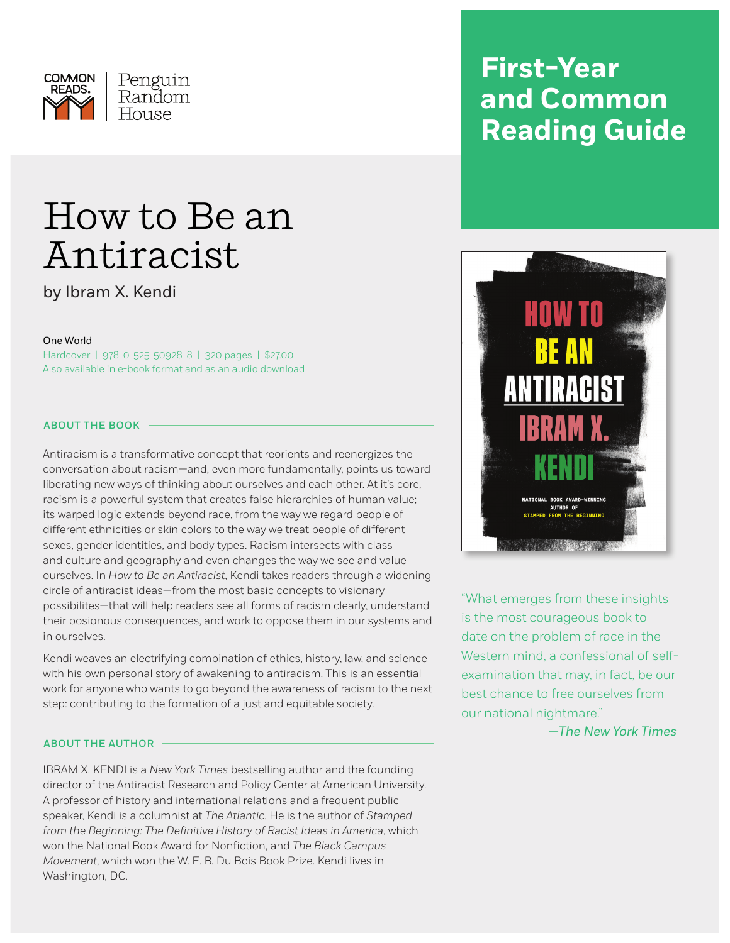

# How to Be an Antiracist

by Ibram X. Kendi

#### One World

Hardcover | 978-0-525-50928-8 | 320 pages | \$27.00 Also available in e-book format and as an audio download

#### ABOUT THE BOOK

Antiracism is a transformative concept that reorients and reenergizes the conversation about racism—and, even more fundamentally, points us toward liberating new ways of thinking about ourselves and each other. At it's core, racism is a powerful system that creates false hierarchies of human value; its warped logic extends beyond race, from the way we regard people of different ethnicities or skin colors to the way we treat people of different sexes, gender identities, and body types. Racism intersects with class and culture and geography and even changes the way we see and value ourselves. In *How to Be an Antiracist*, Kendi takes readers through a widening circle of antiracist ideas—from the most basic concepts to visionary possibilites—that will help readers see all forms of racism clearly, understand their posionous consequences, and work to oppose them in our systems and in ourselves.

Kendi weaves an electrifying combination of ethics, history, law, and science with his own personal story of awakening to antiracism. This is an essential work for anyone who wants to go beyond the awareness of racism to the next step: contributing to the formation of a just and equitable society.

#### ABOUT THE AUTHOR

IBRAM X. KENDI is a *New York Times* bestselling author and the founding director of the Antiracist Research and Policy Center at American University. A professor of history and international relations and a frequent public speaker, Kendi is a columnist at *The Atlantic*. He is the author of *Stamped from the Beginning: The Definitive History of Racist Ideas in America*, which won the National Book Award for Nonfiction, and *The Black Campus Movement*, which won the W. E. B. Du Bois Book Prize. Kendi lives in Washington, DC.

## **First-Year and Common Reading Guide**



"What emerges from these insights is the most courageous book to date on the problem of race in the Western mind, a confessional of selfexamination that may, in fact, be our best chance to free ourselves from our national nightmare."

 *—The New York Times*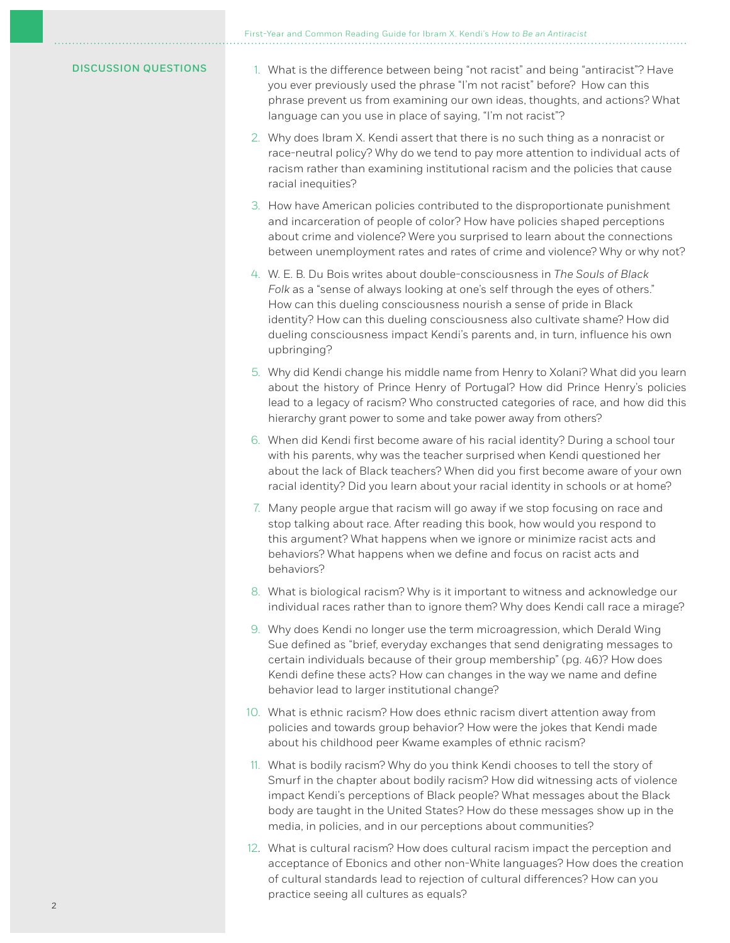#### DISCUSSION QUESTIONS

- 1. What is the difference between being "not racist" and being "antiracist"? Have you ever previously used the phrase "I'm not racist" before? How can this phrase prevent us from examining our own ideas, thoughts, and actions? What language can you use in place of saying, "I'm not racist"?
- 2. Why does Ibram X. Kendi assert that there is no such thing as a nonracist or race-neutral policy? Why do we tend to pay more attention to individual acts of racism rather than examining institutional racism and the policies that cause racial inequities?
- 3. How have American policies contributed to the disproportionate punishment and incarceration of people of color? How have policies shaped perceptions about crime and violence? Were you surprised to learn about the connections between unemployment rates and rates of crime and violence? Why or why not?
- 4. W. E. B. Du Bois writes about double-consciousness in *The Souls of Black*  Folk as a "sense of always looking at one's self through the eyes of others." How can this dueling consciousness nourish a sense of pride in Black identity? How can this dueling consciousness also cultivate shame? How did dueling consciousness impact Kendi's parents and, in turn, influence his own upbringing?
- 5. Why did Kendi change his middle name from Henry to Xolani? What did you learn about the history of Prince Henry of Portugal? How did Prince Henry's policies lead to a legacy of racism? Who constructed categories of race, and how did this hierarchy grant power to some and take power away from others?
- 6. When did Kendi first become aware of his racial identity? During a school tour with his parents, why was the teacher surprised when Kendi questioned her about the lack of Black teachers? When did you first become aware of your own racial identity? Did you learn about your racial identity in schools or at home?
- 7. Many people argue that racism will go away if we stop focusing on race and stop talking about race. After reading this book, how would you respond to this argument? What happens when we ignore or minimize racist acts and behaviors? What happens when we define and focus on racist acts and behaviors?
- 8. What is biological racism? Why is it important to witness and acknowledge our individual races rather than to ignore them? Why does Kendi call race a mirage?
- 9. Why does Kendi no longer use the term microagression, which Derald Wing Sue defined as "brief, everyday exchanges that send denigrating messages to certain individuals because of their group membership" (pg. 46)? How does Kendi define these acts? How can changes in the way we name and define behavior lead to larger institutional change?
- 10. What is ethnic racism? How does ethnic racism divert attention away from policies and towards group behavior? How were the jokes that Kendi made about his childhood peer Kwame examples of ethnic racism?
- 11. What is bodily racism? Why do you think Kendi chooses to tell the story of Smurf in the chapter about bodily racism? How did witnessing acts of violence impact Kendi's perceptions of Black people? What messages about the Black body are taught in the United States? How do these messages show up in the media, in policies, and in our perceptions about communities?
- 12. What is cultural racism? How does cultural racism impact the perception and acceptance of Ebonics and other non-White languages? How does the creation of cultural standards lead to rejection of cultural differences? How can you practice seeing all cultures as equals?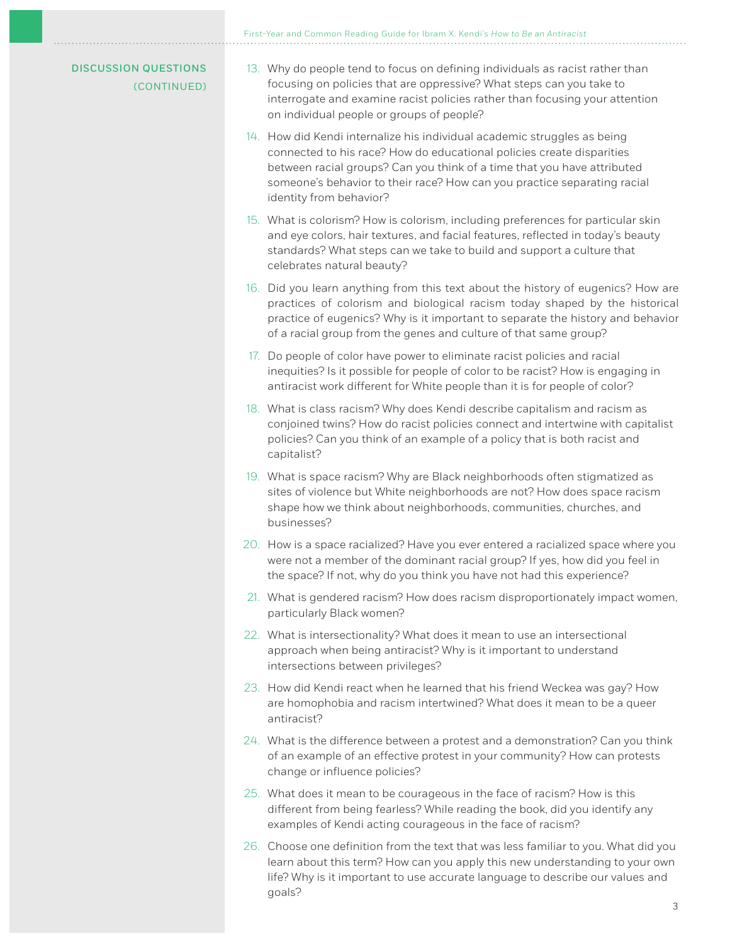First-Year and Common Reading Guide for Ibram X. Kendi's *How to Be an Antiracist*

### DISCUSSION QUESTIONS (CONTINUED)

- 13. Why do people tend to focus on defining individuals as racist rather than focusing on policies that are oppressive? What steps can you take to interrogate and examine racist policies rather than focusing your attention on individual people or groups of people?
- 14. How did Kendi internalize his individual academic struggles as being connected to his race? How do educational policies create disparities between racial groups? Can you think of a time that you have attributed someone's behavior to their race? How can you practice separating racial identity from behavior?
- 15. What is colorism? How is colorism, including preferences for particular skin and eye colors, hair textures, and facial features, reflected in today's beauty standards? What steps can we take to build and support a culture that celebrates natural beauty?
- 16. Did you learn anything from this text about the history of eugenics? How are practices of colorism and biological racism today shaped by the historical practice of eugenics? Why is it important to separate the history and behavior of a racial group from the genes and culture of that same group?
- 17. Do people of color have power to eliminate racist policies and racial inequities? Is it possible for people of color to be racist? How is engaging in antiracist work different for White people than it is for people of color?
- 18. What is class racism? Why does Kendi describe capitalism and racism as conjoined twins? How do racist policies connect and intertwine with capitalist policies? Can you think of an example of a policy that is both racist and capitalist?
- 19. What is space racism? Why are Black neighborhoods often stigmatized as sites of violence but White neighborhoods are not? How does space racism shape how we think about neighborhoods, communities, churches, and businesses?
- 20. How is a space racialized? Have you ever entered a racialized space where you were not a member of the dominant racial group? If yes, how did you feel in the space? If not, why do you think you have not had this experience?
- 21. What is gendered racism? How does racism disproportionately impact women, particularly Black women?
- 22. What is intersectionality? What does it mean to use an intersectional approach when being antiracist? Why is it important to understand intersections between privileges?
- 23. How did Kendi react when he learned that his friend Weckea was gay? How are homophobia and racism intertwined? What does it mean to be a queer antiracist?
- 24. What is the difference between a protest and a demonstration? Can you think of an example of an effective protest in your community? How can protests change or influence policies?
- 25. What does it mean to be courageous in the face of racism? How is this different from being fearless? While reading the book, did you identify any examples of Kendi acting courageous in the face of racism?
- 26. Choose one definition from the text that was less familiar to you. What did you learn about this term? How can you apply this new understanding to your own life? Why is it important to use accurate language to describe our values and goals?